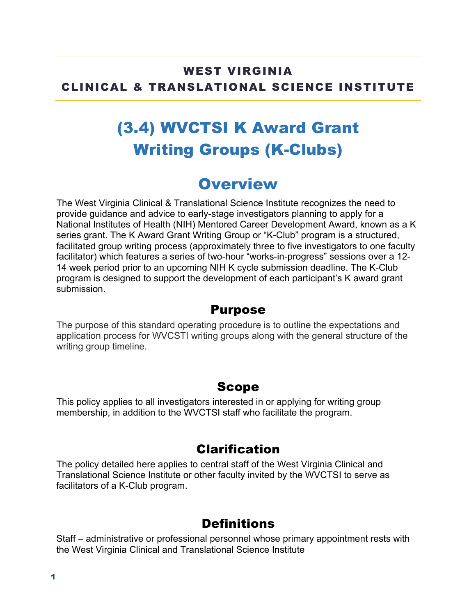#### WEST VIRGINIA CLINICAL & TRANSLATIONAL SCIENCE INSTITUTE

# (3.4) WVCTSI K Award Grant Writing Groups (K-Clubs)

## **Overview**

The West Virginia Clinical & Translational Science Institute recognizes the need to provide guidance and advice to early-stage investigators planning to apply for a National Institutes of Health (NIH) Mentored Career Development Award, known as a K series grant. The K Award Grant Writing Group or "K-Club" program is a structured, facilitated group writing process (approximately three to five investigators to one faculty facilitator) which features a series of two-hour "works-in-progress" sessions over a 12- 14 week period prior to an upcoming NIH K cycle submission deadline. The K-Club program is designed to support the development of each participant's K award grant submission.

#### Purpose

The purpose of this standard operating procedure is to outline the expectations and application process for WVCSTI writing groups along with the general structure of the writing group timeline.

#### Scope

This policy applies to all investigators interested in or applying for writing group membership, in addition to the WVCTSI staff who facilitate the program.

### Clarification

The policy detailed here applies to central staff of the West Virginia Clinical and Translational Science Institute or other faculty invited by the WVCTSI to serve as facilitators of a K-Club program.

### **Definitions**

Staff – administrative or professional personnel whose primary appointment rests with the West Virginia Clinical and Translational Science Institute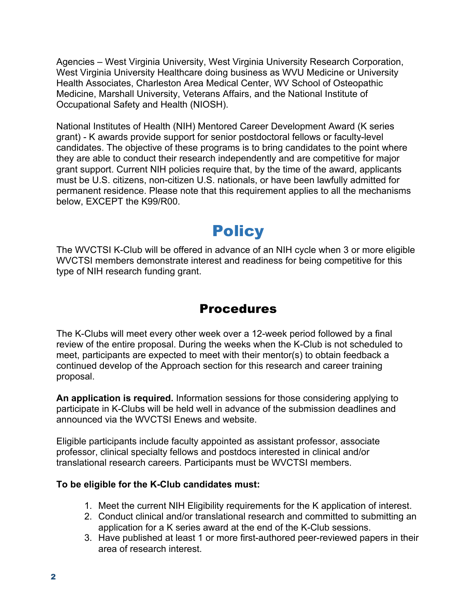Agencies – West Virginia University, West Virginia University Research Corporation, West Virginia University Healthcare doing business as WVU Medicine or University Health Associates, Charleston Area Medical Center, WV School of Osteopathic Medicine, Marshall University, Veterans Affairs, and the National Institute of Occupational Safety and Health (NIOSH).

National Institutes of Health (NIH) Mentored Career Development Award (K series grant) - K awards provide support for senior postdoctoral fellows or faculty-level candidates. The objective of these programs is to bring candidates to the point where they are able to conduct their research independently and are competitive for major grant support. Current NIH policies require that, by the time of the award, applicants must be U.S. citizens, non-citizen U.S. nationals, or have been lawfully admitted for permanent residence. Please note that this requirement applies to all the mechanisms below, EXCEPT the K99/R00.

# **Policy**

The WVCTSI K-Club will be offered in advance of an NIH cycle when 3 or more eligible WVCTSI members demonstrate interest and readiness for being competitive for this type of NIH research funding grant.

### Procedures

The K-Clubs will meet every other week over a 12-week period followed by a final review of the entire proposal. During the weeks when the K-Club is not scheduled to meet, participants are expected to meet with their mentor(s) to obtain feedback a continued develop of the Approach section for this research and career training proposal.

**An application is required.** Information sessions for those considering applying to participate in K-Clubs will be held well in advance of the submission deadlines and announced via the WVCTSI Enews and website.

Eligible participants include faculty appointed as assistant professor, associate professor, clinical specialty fellows and postdocs interested in clinical and/or translational research careers. Participants must be WVCTSI members.

#### **To be eligible for the K-Club candidates must:**

- 1. Meet the current NIH Eligibility requirements for the K application of interest.
- 2. Conduct clinical and/or translational research and committed to submitting an application for a K series award at the end of the K-Club sessions.
- 3. Have published at least 1 or more first-authored peer-reviewed papers in their area of research interest.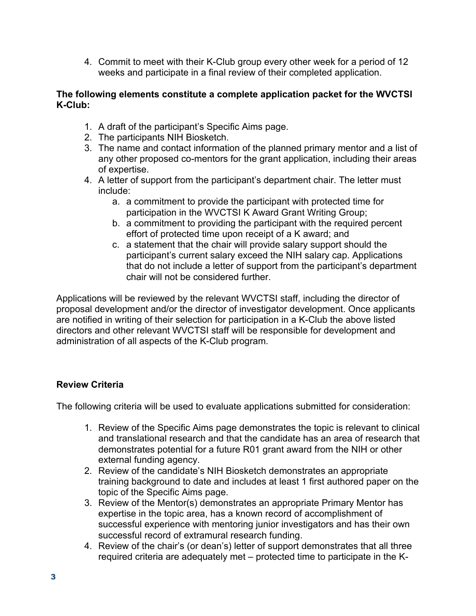4. Commit to meet with their K-Club group every other week for a period of 12 weeks and participate in a final review of their completed application.

#### **The following elements constitute a complete application packet for the WVCTSI K-Club:**

- 1. A draft of the participant's Specific Aims page.
- 2. The participants NIH Biosketch.
- 3. The name and contact information of the planned primary mentor and a list of any other proposed co-mentors for the grant application, including their areas of expertise.
- 4. A letter of support from the participant's department chair. The letter must include:
	- a. a commitment to provide the participant with protected time for participation in the WVCTSI K Award Grant Writing Group;
	- b. a commitment to providing the participant with the required percent effort of protected time upon receipt of a K award; and
	- c. a statement that the chair will provide salary support should the participant's current salary exceed the NIH salary cap. Applications that do not include a letter of support from the participant's department chair will not be considered further.

Applications will be reviewed by the relevant WVCTSI staff, including the director of proposal development and/or the director of investigator development. Once applicants are notified in writing of their selection for participation in a K-Club the above listed directors and other relevant WVCTSI staff will be responsible for development and administration of all aspects of the K-Club program.

#### **Review Criteria**

The following criteria will be used to evaluate applications submitted for consideration:

- 1. Review of the Specific Aims page demonstrates the topic is relevant to clinical and translational research and that the candidate has an area of research that demonstrates potential for a future R01 grant award from the NIH or other external funding agency.
- 2. Review of the candidate's NIH Biosketch demonstrates an appropriate training background to date and includes at least 1 first authored paper on the topic of the Specific Aims page.
- 3. Review of the Mentor(s) demonstrates an appropriate Primary Mentor has expertise in the topic area, has a known record of accomplishment of successful experience with mentoring junior investigators and has their own successful record of extramural research funding.
- 4. Review of the chair's (or dean's) letter of support demonstrates that all three required criteria are adequately met – protected time to participate in the K-